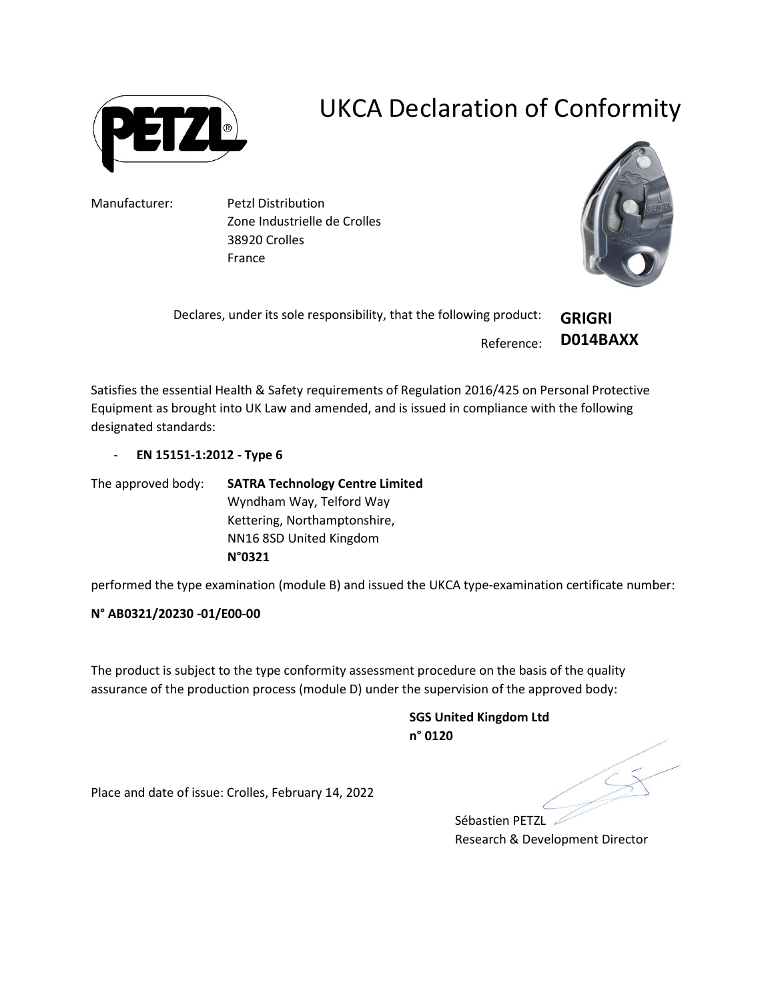

## UKCA Declaration of Conformity

Manufacturer: Petzl Distribution Zone Industrielle de Crolles 38920 Crolles France



Declares, under its sole responsibility, that the following product:

Reference:

D014BAXX

GRIGRI

Satisfies the essential Health & Safety requirements of Regulation 2016/425 on Personal Protective Equipment as brought into UK Law and amended, and is issued in compliance with the following designated standards:

- EN 15151-1:2012 - Type 6

The approved body: SATRA Technology Centre Limited Wyndham Way, Telford Way Kettering, Northamptonshire, NN16 8SD United Kingdom N°0321

performed the type examination (module B) and issued the UKCA type-examination certificate number:

## N° AB0321/20230 -01/E00-00

The product is subject to the type conformity assessment procedure on the basis of the quality assurance of the production process (module D) under the supervision of the approved body:

> SGS United Kingdom Ltd n° 0120

Place and date of issue: Crolles, February 14, 2022

Sébastien PETZL Research & Development Director